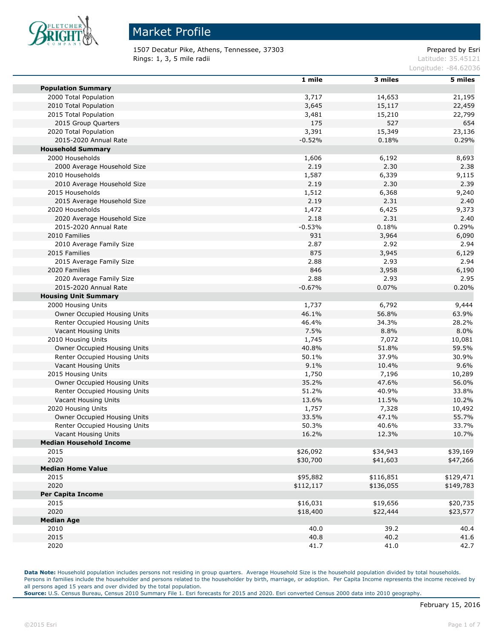

1507 Decatur Pike, Athens, Tennessee, 37303 Prepared by Esri Rings: 1, 3, 5 mile radii and the state of the state of the contract of the latitude: 35.45121

Longitude: -84.62036

|                                | 1 mile    | 3 miles   | 5 miles   |
|--------------------------------|-----------|-----------|-----------|
| <b>Population Summary</b>      |           |           |           |
| 2000 Total Population          | 3,717     | 14,653    | 21,195    |
| 2010 Total Population          | 3,645     | 15,117    | 22,459    |
| 2015 Total Population          | 3,481     | 15,210    | 22,799    |
| 2015 Group Quarters            | 175       | 527       | 654       |
| 2020 Total Population          | 3,391     | 15,349    | 23,136    |
| 2015-2020 Annual Rate          | $-0.52%$  | 0.18%     | 0.29%     |
| <b>Household Summary</b>       |           |           |           |
| 2000 Households                | 1,606     | 6,192     | 8,693     |
| 2000 Average Household Size    | 2.19      | 2.30      | 2.38      |
| 2010 Households                | 1,587     | 6,339     | 9,115     |
| 2010 Average Household Size    | 2.19      | 2.30      | 2.39      |
| 2015 Households                | 1,512     | 6,368     | 9,240     |
| 2015 Average Household Size    | 2.19      | 2.31      | 2.40      |
| 2020 Households                | 1,472     | 6,425     | 9,373     |
| 2020 Average Household Size    | 2.18      | 2.31      | 2.40      |
| 2015-2020 Annual Rate          | $-0.53%$  | 0.18%     | 0.29%     |
| 2010 Families                  | 931       | 3,964     | 6,090     |
| 2010 Average Family Size       | 2.87      | 2.92      | 2.94      |
| 2015 Families                  | 875       | 3,945     | 6,129     |
| 2015 Average Family Size       | 2.88      | 2.93      | 2.94      |
| 2020 Families                  | 846       | 3,958     | 6,190     |
| 2020 Average Family Size       | 2.88      | 2.93      | 2.95      |
| 2015-2020 Annual Rate          | $-0.67%$  | 0.07%     | 0.20%     |
| <b>Housing Unit Summary</b>    |           |           |           |
| 2000 Housing Units             | 1,737     | 6,792     | 9,444     |
| Owner Occupied Housing Units   | 46.1%     | 56.8%     | 63.9%     |
| Renter Occupied Housing Units  | 46.4%     | 34.3%     | 28.2%     |
| Vacant Housing Units           | 7.5%      | 8.8%      | 8.0%      |
| 2010 Housing Units             | 1,745     | 7,072     | 10,081    |
| Owner Occupied Housing Units   | 40.8%     | 51.8%     | 59.5%     |
| Renter Occupied Housing Units  | 50.1%     | 37.9%     | 30.9%     |
| Vacant Housing Units           | 9.1%      | 10.4%     | 9.6%      |
| 2015 Housing Units             | 1,750     | 7,196     | 10,289    |
| Owner Occupied Housing Units   | 35.2%     | 47.6%     | 56.0%     |
| Renter Occupied Housing Units  | 51.2%     | 40.9%     | 33.8%     |
| Vacant Housing Units           | 13.6%     | 11.5%     | 10.2%     |
| 2020 Housing Units             | 1,757     | 7,328     | 10,492    |
| Owner Occupied Housing Units   | 33.5%     | 47.1%     | 55.7%     |
| Renter Occupied Housing Units  | 50.3%     | 40.6%     | 33.7%     |
| Vacant Housing Units           | 16.2%     | 12.3%     | 10.7%     |
| <b>Median Household Income</b> |           |           |           |
| 2015                           | \$26,092  | \$34,943  | \$39,169  |
| 2020                           | \$30,700  | \$41,603  | \$47,266  |
| <b>Median Home Value</b>       |           |           |           |
| 2015                           | \$95,882  | \$116,851 | \$129,471 |
| 2020                           | \$112,117 | \$136,055 | \$149,783 |
| <b>Per Capita Income</b>       |           |           |           |
| 2015                           | \$16,031  | \$19,656  | \$20,735  |
| 2020                           | \$18,400  | \$22,444  | \$23,577  |
| <b>Median Age</b>              |           |           |           |
| 2010                           | 40.0      | 39.2      | 40.4      |
| 2015                           | 40.8      | 40.2      | 41.6      |
| 2020                           | 41.7      | 41.0      | 42.7      |

**Data Note:** Household population includes persons not residing in group quarters. Average Household Size is the household population divided by total households. Persons in families include the householder and persons related to the householder by birth, marriage, or adoption. Per Capita Income represents the income received by all persons aged 15 years and over divided by the total population.

**Source:** U.S. Census Bureau, Census 2010 Summary File 1. Esri forecasts for 2015 and 2020. Esri converted Census 2000 data into 2010 geography.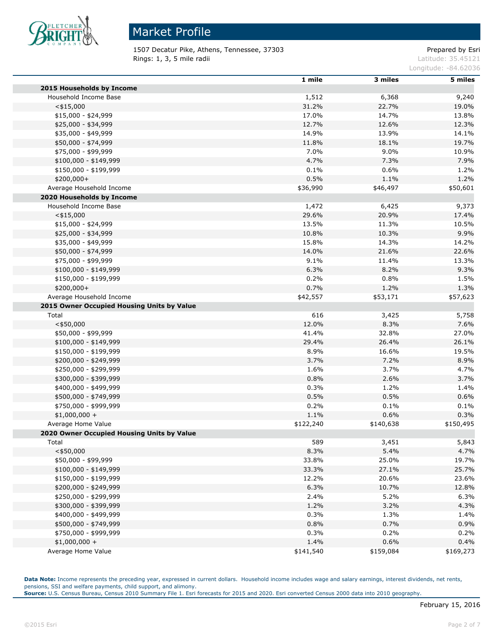

# Market Profile

1507 Decatur Pike, Athens, Tennessee, 37303 extending the prepared by Esri Rings: 1, 3, 5 mile radii and the state of the state of the contract of the latitude: 35.45121

Longitude: -84.62036

|                                            | 1 mile    | 3 miles   | 5 miles   |
|--------------------------------------------|-----------|-----------|-----------|
| 2015 Households by Income                  |           |           |           |
| Household Income Base                      | 1,512     | 6,368     | 9,240     |
| $<$ \$15,000                               | 31.2%     | 22.7%     | 19.0%     |
| $$15,000 - $24,999$                        | 17.0%     | 14.7%     | 13.8%     |
| \$25,000 - \$34,999                        | 12.7%     | 12.6%     | 12.3%     |
| \$35,000 - \$49,999                        | 14.9%     | 13.9%     | 14.1%     |
| \$50,000 - \$74,999                        | 11.8%     | 18.1%     | 19.7%     |
| \$75,000 - \$99,999                        | 7.0%      | 9.0%      | 10.9%     |
| $$100,000 - $149,999$                      | 4.7%      | 7.3%      | 7.9%      |
| \$150,000 - \$199,999                      | 0.1%      | 0.6%      | 1.2%      |
| \$200,000+                                 | 0.5%      | 1.1%      | 1.2%      |
| Average Household Income                   | \$36,990  | \$46,497  | \$50,601  |
| 2020 Households by Income                  |           |           |           |
| Household Income Base                      | 1,472     | 6,425     | 9,373     |
| $<$ \$15,000                               | 29.6%     | 20.9%     | 17.4%     |
| \$15,000 - \$24,999                        | 13.5%     | 11.3%     | 10.5%     |
| \$25,000 - \$34,999                        | 10.8%     | 10.3%     | 9.9%      |
| \$35,000 - \$49,999                        | 15.8%     | 14.3%     | 14.2%     |
| \$50,000 - \$74,999                        | 14.0%     | 21.6%     | 22.6%     |
| \$75,000 - \$99,999                        | 9.1%      | 11.4%     | 13.3%     |
| \$100,000 - \$149,999                      | 6.3%      | 8.2%      | 9.3%      |
| \$150,000 - \$199,999                      | 0.2%      | 0.8%      | 1.5%      |
| \$200,000+                                 | 0.7%      | 1.2%      | 1.3%      |
| Average Household Income                   | \$42,557  | \$53,171  | \$57,623  |
| 2015 Owner Occupied Housing Units by Value |           |           |           |
| Total                                      | 616       | 3,425     | 5,758     |
| $<$ \$50,000                               | 12.0%     | 8.3%      | 7.6%      |
| \$50,000 - \$99,999                        | 41.4%     | 32.8%     | 27.0%     |
| \$100,000 - \$149,999                      | 29.4%     | 26.4%     | 26.1%     |
| \$150,000 - \$199,999                      | 8.9%      | 16.6%     | 19.5%     |
| \$200,000 - \$249,999                      | 3.7%      | 7.2%      | 8.9%      |
| \$250,000 - \$299,999                      | 1.6%      | 3.7%      | 4.7%      |
| \$300,000 - \$399,999                      | 0.8%      | 2.6%      | 3.7%      |
| \$400,000 - \$499,999                      | 0.3%      | 1.2%      | 1.4%      |
| \$500,000 - \$749,999                      | 0.5%      | 0.5%      | 0.6%      |
| \$750,000 - \$999,999                      | 0.2%      | 0.1%      | 0.1%      |
| $$1,000,000 +$                             | 1.1%      | 0.6%      | 0.3%      |
| Average Home Value                         |           | \$140,638 |           |
| 2020 Owner Occupied Housing Units by Value | \$122,240 |           | \$150,495 |
|                                            |           |           |           |
| Total                                      | 589       | 3,451     | 5,843     |
| $<$ \$50,000                               | 8.3%      | 5.4%      | 4.7%      |
| \$50,000 - \$99,999                        | 33.8%     | 25.0%     | 19.7%     |
| $$100,000 - $149,999$                      | 33.3%     | 27.1%     | 25.7%     |
| \$150,000 - \$199,999                      | 12.2%     | 20.6%     | 23.6%     |
| \$200,000 - \$249,999                      | 6.3%      | 10.7%     | 12.8%     |
| \$250,000 - \$299,999                      | 2.4%      | 5.2%      | 6.3%      |
| \$300,000 - \$399,999                      | 1.2%      | 3.2%      | 4.3%      |
| \$400,000 - \$499,999                      | 0.3%      | 1.3%      | 1.4%      |
| \$500,000 - \$749,999                      | 0.8%      | 0.7%      | 0.9%      |
| \$750,000 - \$999,999                      | 0.3%      | 0.2%      | 0.2%      |
| $$1,000,000 +$                             | 1.4%      | 0.6%      | 0.4%      |
| Average Home Value                         | \$141,540 | \$159,084 | \$169,273 |

Data Note: Income represents the preceding year, expressed in current dollars. Household income includes wage and salary earnings, interest dividends, net rents, pensions, SSI and welfare payments, child support, and alimony.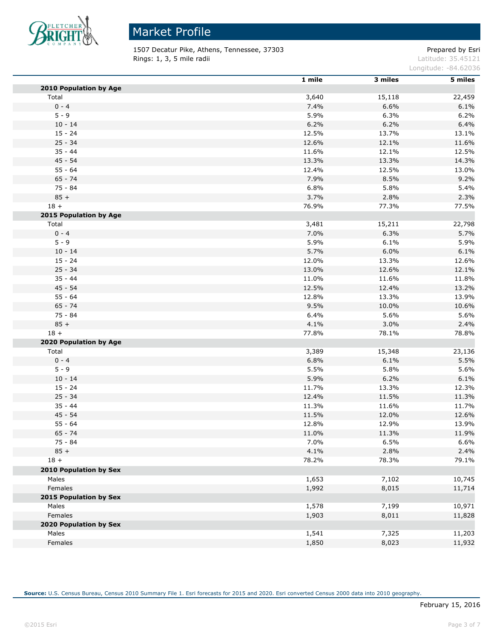

1507 Decatur Pike, Athens, Tennessee, 37303 extending the prepared by Esri **Rings: 1, 3, 5 mile radii** Latitude: 35.45121

Longitude: -84.62036

|                        | 1 mile | 3 miles | 5 miles |
|------------------------|--------|---------|---------|
| 2010 Population by Age |        |         |         |
| Total                  | 3,640  | 15,118  | 22,459  |
| $0 - 4$                | 7.4%   | 6.6%    | 6.1%    |
| $5 - 9$                | 5.9%   | 6.3%    | 6.2%    |
| $10 - 14$              | 6.2%   | 6.2%    | 6.4%    |
| $15 - 24$              | 12.5%  | 13.7%   | 13.1%   |
| $25 - 34$              | 12.6%  | 12.1%   | 11.6%   |
| $35 - 44$              | 11.6%  | 12.1%   | 12.5%   |
| 45 - 54                | 13.3%  | 13.3%   | 14.3%   |
| $55 - 64$              | 12.4%  | 12.5%   | 13.0%   |
| $65 - 74$              | 7.9%   | 8.5%    | 9.2%    |
| $75 - 84$              | 6.8%   | 5.8%    | 5.4%    |
| $85 +$                 | 3.7%   | 2.8%    | 2.3%    |
| $18 +$                 | 76.9%  | 77.3%   | 77.5%   |
| 2015 Population by Age |        |         |         |
| Total                  | 3,481  | 15,211  | 22,798  |
| $0 - 4$                | 7.0%   | 6.3%    | 5.7%    |
| $5 - 9$                | 5.9%   | 6.1%    | 5.9%    |
| $10 - 14$              | 5.7%   | 6.0%    | 6.1%    |
| $15 - 24$              | 12.0%  | 13.3%   | 12.6%   |
| $25 - 34$              | 13.0%  | 12.6%   | 12.1%   |
| $35 - 44$              | 11.0%  | 11.6%   | 11.8%   |
| $45 - 54$              | 12.5%  | 12.4%   | 13.2%   |
| $55 - 64$              | 12.8%  | 13.3%   | 13.9%   |
| $65 - 74$              | 9.5%   | 10.0%   | 10.6%   |
| $75 - 84$              | 6.4%   | 5.6%    | 5.6%    |
| $85 +$                 | 4.1%   | 3.0%    | 2.4%    |
| $18 +$                 | 77.8%  | 78.1%   | 78.8%   |
| 2020 Population by Age |        |         |         |
| Total                  | 3,389  | 15,348  | 23,136  |
| $0 - 4$                | 6.8%   | 6.1%    | 5.5%    |
| $5 - 9$                | 5.5%   | 5.8%    | 5.6%    |
| $10 - 14$              | 5.9%   | 6.2%    | 6.1%    |
| $15 - 24$              | 11.7%  | 13.3%   | 12.3%   |
| $25 - 34$              | 12.4%  | 11.5%   | 11.3%   |
| $35 - 44$              | 11.3%  | 11.6%   | 11.7%   |
| 45 - 54                | 11.5%  | 12.0%   | 12.6%   |
| $55 - 64$              | 12.8%  | 12.9%   | 13.9%   |
| $65 - 74$              | 11.0%  | 11.3%   | 11.9%   |
| 75 - 84                | 7.0%   | 6.5%    | 6.6%    |
| $85 +$                 | 4.1%   | 2.8%    | 2.4%    |
| $18 +$                 | 78.2%  | 78.3%   | 79.1%   |
| 2010 Population by Sex |        |         |         |
| Males                  | 1,653  | 7,102   | 10,745  |
| Females                | 1,992  | 8,015   | 11,714  |
| 2015 Population by Sex |        |         |         |
| Males                  | 1,578  | 7,199   | 10,971  |
| Females                | 1,903  | 8,011   | 11,828  |
| 2020 Population by Sex |        |         |         |
| Males                  | 1,541  | 7,325   | 11,203  |
| Females                | 1,850  | 8,023   | 11,932  |
|                        |        |         |         |

**Source:** U.S. Census Bureau, Census 2010 Summary File 1. Esri forecasts for 2015 and 2020. Esri converted Census 2000 data into 2010 geography.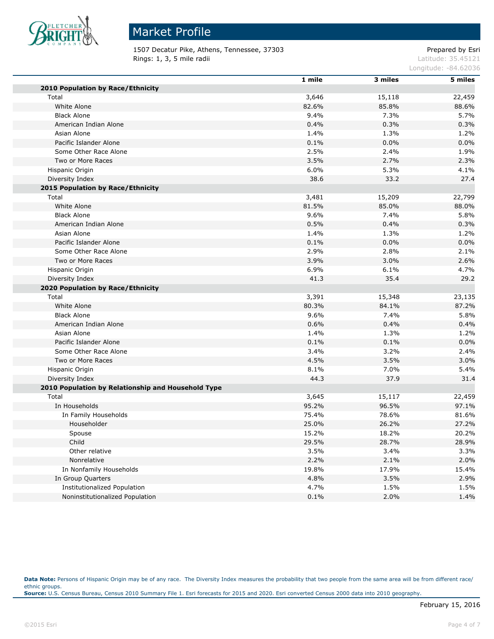

# Market Profile

1507 Decatur Pike, Athens, Tennessee, 37303 extending the prepared by Esri Rings: 1, 3, 5 mile radii and the state of the state of the contract of the latitude: 35.45121

Longitude: -84.62036

|                                                    | 1 mile | 3 miles | 5 miles |
|----------------------------------------------------|--------|---------|---------|
| 2010 Population by Race/Ethnicity                  |        |         |         |
| Total                                              | 3,646  | 15,118  | 22,459  |
| White Alone                                        | 82.6%  | 85.8%   | 88.6%   |
| <b>Black Alone</b>                                 | 9.4%   | 7.3%    | 5.7%    |
| American Indian Alone                              | 0.4%   | 0.3%    | 0.3%    |
| Asian Alone                                        | 1.4%   | 1.3%    | 1.2%    |
| Pacific Islander Alone                             | 0.1%   | 0.0%    | 0.0%    |
| Some Other Race Alone                              | 2.5%   | 2.4%    | 1.9%    |
| Two or More Races                                  | 3.5%   | 2.7%    | 2.3%    |
| Hispanic Origin                                    | 6.0%   | 5.3%    | 4.1%    |
| Diversity Index                                    | 38.6   | 33.2    | 27.4    |
| 2015 Population by Race/Ethnicity                  |        |         |         |
| Total                                              | 3,481  | 15,209  | 22,799  |
| White Alone                                        | 81.5%  | 85.0%   | 88.0%   |
| <b>Black Alone</b>                                 | 9.6%   | 7.4%    | 5.8%    |
| American Indian Alone                              | 0.5%   | 0.4%    | 0.3%    |
| Asian Alone                                        | 1.4%   | 1.3%    | 1.2%    |
| Pacific Islander Alone                             | 0.1%   | 0.0%    | 0.0%    |
| Some Other Race Alone                              | 2.9%   | 2.8%    | 2.1%    |
| Two or More Races                                  | 3.9%   | 3.0%    | 2.6%    |
| Hispanic Origin                                    | 6.9%   | 6.1%    | 4.7%    |
| Diversity Index                                    | 41.3   | 35.4    | 29.2    |
| 2020 Population by Race/Ethnicity                  |        |         |         |
| Total                                              | 3,391  | 15,348  | 23,135  |
| White Alone                                        | 80.3%  | 84.1%   | 87.2%   |
| <b>Black Alone</b>                                 | 9.6%   | 7.4%    | 5.8%    |
| American Indian Alone                              | 0.6%   | 0.4%    | 0.4%    |
| Asian Alone                                        | 1.4%   | 1.3%    | 1.2%    |
| Pacific Islander Alone                             | 0.1%   | 0.1%    | 0.0%    |
| Some Other Race Alone                              | 3.4%   | 3.2%    | 2.4%    |
| Two or More Races                                  | 4.5%   | 3.5%    | 3.0%    |
| Hispanic Origin                                    | 8.1%   | 7.0%    | 5.4%    |
| Diversity Index                                    | 44.3   | 37.9    | 31.4    |
| 2010 Population by Relationship and Household Type |        |         |         |
| Total                                              | 3,645  | 15,117  | 22,459  |
| In Households                                      | 95.2%  | 96.5%   | 97.1%   |
| In Family Households                               | 75.4%  | 78.6%   | 81.6%   |
| Householder                                        | 25.0%  | 26.2%   | 27.2%   |
| Spouse                                             | 15.2%  | 18.2%   | 20.2%   |
| Child                                              | 29.5%  | 28.7%   | 28.9%   |
| Other relative                                     | 3.5%   | 3.4%    | 3.3%    |
| Nonrelative                                        | 2.2%   | 2.1%    | 2.0%    |
| In Nonfamily Households                            | 19.8%  | 17.9%   | 15.4%   |
| In Group Quarters                                  | 4.8%   | 3.5%    | 2.9%    |
| <b>Institutionalized Population</b>                | 4.7%   | 1.5%    | 1.5%    |
| Noninstitutionalized Population                    | 0.1%   | 2.0%    | 1.4%    |

Data Note: Persons of Hispanic Origin may be of any race. The Diversity Index measures the probability that two people from the same area will be from different race/ ethnic groups. **Source:** U.S. Census Bureau, Census 2010 Summary File 1. Esri forecasts for 2015 and 2020. Esri converted Census 2000 data into 2010 geography.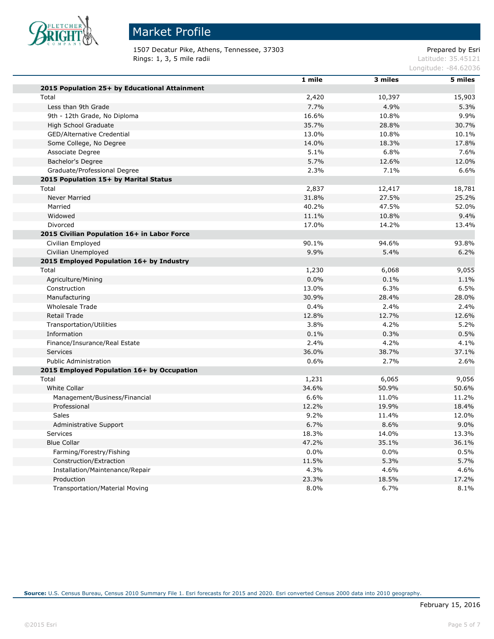

1507 Decatur Pike, Athens, Tennessee, 37303 Prepared by Esri<br>Rings: 1, 3, 5 mile radii etials and all proportional control of the latitude: 35.45121 Rings: 1, 3, 5 mile radii

Longitude: -84.62036

|                                               | 1 mile | 3 miles | 5 miles |
|-----------------------------------------------|--------|---------|---------|
| 2015 Population 25+ by Educational Attainment |        |         |         |
| Total                                         | 2,420  | 10,397  | 15,903  |
| Less than 9th Grade                           | 7.7%   | 4.9%    | 5.3%    |
| 9th - 12th Grade, No Diploma                  | 16.6%  | 10.8%   | 9.9%    |
| High School Graduate                          | 35.7%  | 28.8%   | 30.7%   |
| <b>GED/Alternative Credential</b>             | 13.0%  | 10.8%   | 10.1%   |
| Some College, No Degree                       | 14.0%  | 18.3%   | 17.8%   |
| Associate Degree                              | 5.1%   | 6.8%    | 7.6%    |
| Bachelor's Degree                             | 5.7%   | 12.6%   | 12.0%   |
| Graduate/Professional Degree                  | 2.3%   | 7.1%    | 6.6%    |
| 2015 Population 15+ by Marital Status         |        |         |         |
| Total                                         | 2,837  | 12,417  | 18,781  |
| <b>Never Married</b>                          | 31.8%  | 27.5%   | 25.2%   |
| Married                                       | 40.2%  | 47.5%   | 52.0%   |
| Widowed                                       | 11.1%  | 10.8%   | 9.4%    |
| Divorced                                      | 17.0%  | 14.2%   | 13.4%   |
| 2015 Civilian Population 16+ in Labor Force   |        |         |         |
| Civilian Employed                             | 90.1%  | 94.6%   | 93.8%   |
| Civilian Unemployed                           | 9.9%   | 5.4%    | 6.2%    |
| 2015 Employed Population 16+ by Industry      |        |         |         |
| Total                                         | 1,230  | 6,068   | 9,055   |
| Agriculture/Mining                            | 0.0%   | 0.1%    | 1.1%    |
| Construction                                  | 13.0%  | 6.3%    | 6.5%    |
| Manufacturing                                 | 30.9%  | 28.4%   | 28.0%   |
| <b>Wholesale Trade</b>                        | 0.4%   | 2.4%    | 2.4%    |
| <b>Retail Trade</b>                           | 12.8%  | 12.7%   | 12.6%   |
| Transportation/Utilities                      | 3.8%   | 4.2%    | 5.2%    |
| Information                                   | 0.1%   | 0.3%    | 0.5%    |
| Finance/Insurance/Real Estate                 | 2.4%   | 4.2%    | 4.1%    |
| Services                                      | 36.0%  | 38.7%   | 37.1%   |
| <b>Public Administration</b>                  | 0.6%   | 2.7%    | 2.6%    |
| 2015 Employed Population 16+ by Occupation    |        |         |         |
| Total                                         | 1,231  | 6,065   | 9,056   |
| White Collar                                  | 34.6%  | 50.9%   | 50.6%   |
| Management/Business/Financial                 | 6.6%   | 11.0%   | 11.2%   |
| Professional                                  | 12.2%  | 19.9%   | 18.4%   |
| <b>Sales</b>                                  | 9.2%   | 11.4%   | 12.0%   |
| Administrative Support                        | 6.7%   | 8.6%    | 9.0%    |
| <b>Services</b>                               | 18.3%  | 14.0%   | 13.3%   |
| <b>Blue Collar</b>                            | 47.2%  | 35.1%   | 36.1%   |
| Farming/Forestry/Fishing                      | 0.0%   | $0.0\%$ | 0.5%    |
| Construction/Extraction                       | 11.5%  | 5.3%    | 5.7%    |
| Installation/Maintenance/Repair               | 4.3%   | 4.6%    | 4.6%    |
| Production                                    | 23.3%  | 18.5%   | 17.2%   |
| <b>Transportation/Material Moving</b>         | 8.0%   | 6.7%    | 8.1%    |

**Source:** U.S. Census Bureau, Census 2010 Summary File 1. Esri forecasts for 2015 and 2020. Esri converted Census 2000 data into 2010 geography.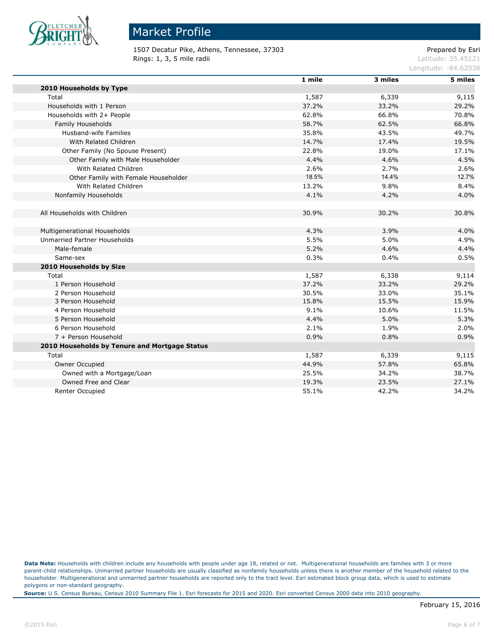

1507 Decatur Pike, Athens, Tennessee, 37303 Prepared by Esri Rings: 1, 3, 5 mile radii and the state of the state of the contract of the latitude: 35.45121

Longitude: -84.62036

|                                               | 1 mile | 3 miles | 5 miles |
|-----------------------------------------------|--------|---------|---------|
| 2010 Households by Type                       |        |         |         |
| Total                                         | 1,587  | 6,339   | 9,115   |
| Households with 1 Person                      | 37.2%  | 33.2%   | 29.2%   |
| Households with 2+ People                     | 62.8%  | 66.8%   | 70.8%   |
| Family Households                             | 58.7%  | 62.5%   | 66.8%   |
| Husband-wife Families                         | 35.8%  | 43.5%   | 49.7%   |
| With Related Children                         | 14.7%  | 17.4%   | 19.5%   |
| Other Family (No Spouse Present)              | 22.8%  | 19.0%   | 17.1%   |
| Other Family with Male Householder            | 4.4%   | 4.6%    | 4.5%    |
| With Related Children                         | 2.6%   | 2.7%    | 2.6%    |
| Other Family with Female Householder          | 18.5%  | 14.4%   | 12.7%   |
| With Related Children                         | 13.2%  | 9.8%    | 8.4%    |
| Nonfamily Households                          | 4.1%   | 4.2%    | 4.0%    |
|                                               |        |         |         |
| All Households with Children                  | 30.9%  | 30.2%   | 30.8%   |
| Multigenerational Households                  | 4.3%   | 3.9%    | 4.0%    |
| <b>Unmarried Partner Households</b>           | 5.5%   | 5.0%    | 4.9%    |
| Male-female                                   | 5.2%   | 4.6%    | 4.4%    |
| Same-sex                                      | 0.3%   | 0.4%    | 0.5%    |
| 2010 Households by Size                       |        |         |         |
| Total                                         | 1,587  | 6,338   | 9,114   |
| 1 Person Household                            | 37.2%  | 33.2%   | 29.2%   |
| 2 Person Household                            | 30.5%  | 33.0%   | 35.1%   |
| 3 Person Household                            | 15.8%  | 15.5%   | 15.9%   |
| 4 Person Household                            | 9.1%   | 10.6%   | 11.5%   |
| 5 Person Household                            | 4.4%   | 5.0%    | 5.3%    |
| 6 Person Household                            | 2.1%   | 1.9%    | 2.0%    |
| 7 + Person Household                          | 0.9%   | 0.8%    | 0.9%    |
| 2010 Households by Tenure and Mortgage Status |        |         |         |
| Total                                         | 1,587  | 6,339   | 9,115   |
| Owner Occupied                                | 44.9%  | 57.8%   | 65.8%   |
| Owned with a Mortgage/Loan                    | 25.5%  | 34.2%   | 38.7%   |
| Owned Free and Clear                          | 19.3%  | 23.5%   | 27.1%   |
| Renter Occupied                               | 55.1%  | 42.2%   | 34.2%   |

**Data Note:** Households with children include any households with people under age 18, related or not. Multigenerational households are families with 3 or more parent-child relationships. Unmarried partner households are usually classified as nonfamily households unless there is another member of the household related to the householder. Multigenerational and unmarried partner households are reported only to the tract level. Esri estimated block group data, which is used to estimate polygons or non-standard geography.

**Source:** U.S. Census Bureau, Census 2010 Summary File 1. Esri forecasts for 2015 and 2020. Esri converted Census 2000 data into 2010 geography.